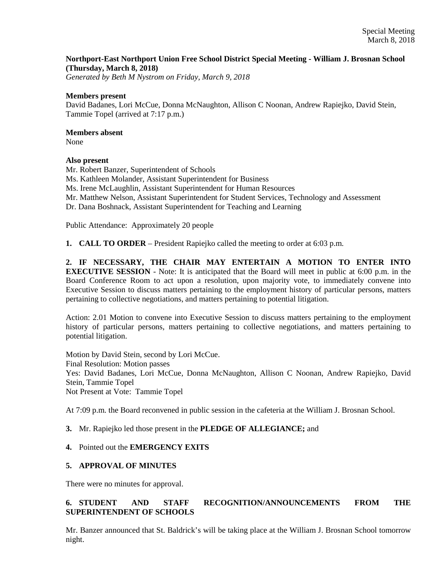# **Northport-East Northport Union Free School District Special Meeting - William J. Brosnan School (Thursday, March 8, 2018)**

*Generated by Beth M Nystrom on Friday, March 9, 2018*

#### **Members present**

David Badanes, Lori McCue, Donna McNaughton, Allison C Noonan, Andrew Rapiejko, David Stein, Tammie Topel (arrived at 7:17 p.m.)

#### **Members absent**

None

# **Also present**

Mr. Robert Banzer, Superintendent of Schools Ms. Kathleen Molander, Assistant Superintendent for Business Ms. Irene McLaughlin, Assistant Superintendent for Human Resources Mr. Matthew Nelson, Assistant Superintendent for Student Services, Technology and Assessment Dr. Dana Boshnack, Assistant Superintendent for Teaching and Learning

Public Attendance: Approximately 20 people

**1. CALL TO ORDER** – President Rapiejko called the meeting to order at 6:03 p.m.

**2. IF NECESSARY, THE CHAIR MAY ENTERTAIN A MOTION TO ENTER INTO EXECUTIVE SESSION** - Note: It is anticipated that the Board will meet in public at 6:00 p.m. in the Board Conference Room to act upon a resolution, upon majority vote, to immediately convene into Executive Session to discuss matters pertaining to the employment history of particular persons, matters pertaining to collective negotiations, and matters pertaining to potential litigation.

Action: 2.01 Motion to convene into Executive Session to discuss matters pertaining to the employment history of particular persons, matters pertaining to collective negotiations, and matters pertaining to potential litigation.

Motion by David Stein, second by Lori McCue. Final Resolution: Motion passes Yes: David Badanes, Lori McCue, Donna McNaughton, Allison C Noonan, Andrew Rapiejko, David Stein, Tammie Topel Not Present at Vote: Tammie Topel

At 7:09 p.m. the Board reconvened in public session in the cafeteria at the William J. Brosnan School.

# **3.** Mr. Rapiejko led those present in the **PLEDGE OF ALLEGIANCE;** and

# **4.** Pointed out the **EMERGENCY EXITS**

# **5. APPROVAL OF MINUTES**

There were no minutes for approval.

# **6. STUDENT AND STAFF RECOGNITION/ANNOUNCEMENTS FROM THE SUPERINTENDENT OF SCHOOLS**

Mr. Banzer announced that St. Baldrick's will be taking place at the William J. Brosnan School tomorrow night.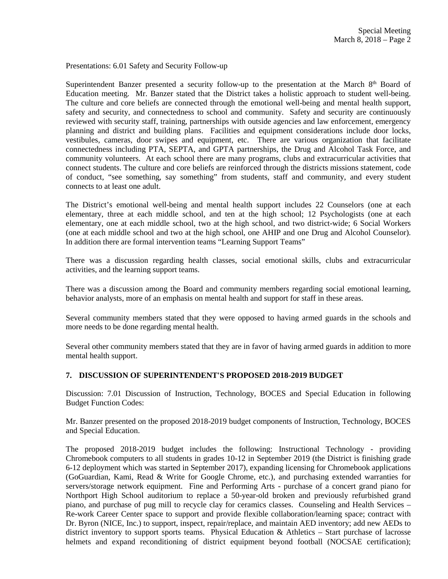Presentations: 6.01 Safety and Security Follow-up

Superintendent Banzer presented a security follow-up to the presentation at the March  $8<sup>th</sup>$  Board of Education meeting. Mr. Banzer stated that the District takes a holistic approach to student well-being. The culture and core beliefs are connected through the emotional well-being and mental health support, safety and security, and connectedness to school and community. Safety and security are continuously reviewed with security staff, training, partnerships with outside agencies and law enforcement, emergency planning and district and building plans. Facilities and equipment considerations include door locks, vestibules, cameras, door swipes and equipment, etc. There are various organization that facilitate connectedness including PTA, SEPTA, and GPTA partnerships, the Drug and Alcohol Task Force, and community volunteers. At each school there are many programs, clubs and extracurricular activities that connect students. The culture and core beliefs are reinforced through the districts missions statement, code of conduct, "see something, say something" from students, staff and community, and every student connects to at least one adult.

The District's emotional well-being and mental health support includes 22 Counselors (one at each elementary, three at each middle school, and ten at the high school; 12 Psychologists (one at each elementary, one at each middle school, two at the high school, and two district-wide; 6 Social Workers (one at each middle school and two at the high school, one AHIP and one Drug and Alcohol Counselor). In addition there are formal intervention teams "Learning Support Teams"

There was a discussion regarding health classes, social emotional skills, clubs and extracurricular activities, and the learning support teams.

There was a discussion among the Board and community members regarding social emotional learning, behavior analysts, more of an emphasis on mental health and support for staff in these areas.

Several community members stated that they were opposed to having armed guards in the schools and more needs to be done regarding mental health.

Several other community members stated that they are in favor of having armed guards in addition to more mental health support.

#### **7. DISCUSSION OF SUPERINTENDENT'S PROPOSED 2018-2019 BUDGET**

Discussion: 7.01 Discussion of Instruction, Technology, BOCES and Special Education in following Budget Function Codes:

Mr. Banzer presented on the proposed 2018-2019 budget components of Instruction, Technology, BOCES and Special Education.

The proposed 2018-2019 budget includes the following: Instructional Technology - providing Chromebook computers to all students in grades 10-12 in September 2019 (the District is finishing grade 6-12 deployment which was started in September 2017), expanding licensing for Chromebook applications (GoGuardian, Kami, Read & Write for Google Chrome, etc.), and purchasing extended warranties for servers/storage network equipment. Fine and Performing Arts - purchase of a concert grand piano for Northport High School auditorium to replace a 50-year-old broken and previously refurbished grand piano, and purchase of pug mill to recycle clay for ceramics classes. Counseling and Health Services – Re-work Career Center space to support and provide flexible collaboration/learning space; contract with Dr. Byron (NICE, Inc.) to support, inspect, repair/replace, and maintain AED inventory; add new AEDs to district inventory to support sports teams. Physical Education & Athletics – Start purchase of lacrosse helmets and expand reconditioning of district equipment beyond football (NOCSAE certification);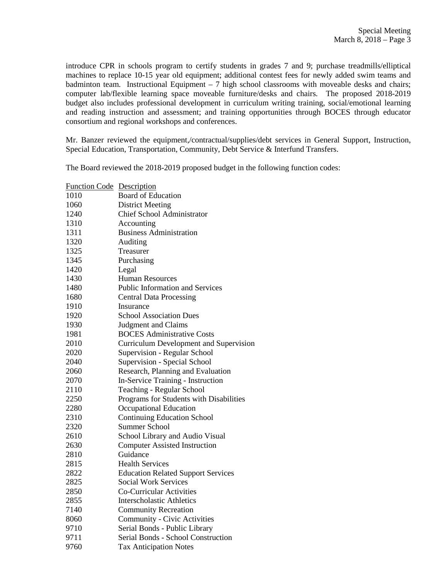introduce CPR in schools program to certify students in grades 7 and 9; purchase treadmills/elliptical machines to replace 10-15 year old equipment; additional contest fees for newly added swim teams and badminton team. Instructional Equipment  $-7$  high school classrooms with moveable desks and chairs; computer lab/flexible learning space moveable furniture/desks and chairs. The proposed 2018-2019 budget also includes professional development in curriculum writing training, social/emotional learning and reading instruction and assessment; and training opportunities through BOCES through educator consortium and regional workshops and conferences.

Mr. Banzer reviewed the equipment,/contractual/supplies/debt services in General Support, Instruction, Special Education, Transportation, Community, Debt Service & Interfund Transfers.

The Board reviewed the 2018-2019 proposed budget in the following function codes:

| <b>Function Code</b> | Description                                   |
|----------------------|-----------------------------------------------|
| 1010                 | <b>Board of Education</b>                     |
| 1060                 | <b>District Meeting</b>                       |
| 1240                 | <b>Chief School Administrator</b>             |
| 1310                 | Accounting                                    |
| 1311                 | <b>Business Administration</b>                |
| 1320                 | Auditing                                      |
| 1325                 | Treasurer                                     |
| 1345                 | Purchasing                                    |
| 1420                 | Legal                                         |
| 1430                 | <b>Human Resources</b>                        |
| 1480                 | <b>Public Information and Services</b>        |
| 1680                 | <b>Central Data Processing</b>                |
| 1910                 | Insurance                                     |
| 1920                 | <b>School Association Dues</b>                |
| 1930                 | <b>Judgment and Claims</b>                    |
| 1981                 | <b>BOCES</b> Administrative Costs             |
| 2010                 | <b>Curriculum Development and Supervision</b> |
| 2020                 | Supervision - Regular School                  |
| 2040                 | Supervision - Special School                  |
| 2060                 | Research, Planning and Evaluation             |
| 2070                 | In-Service Training - Instruction             |
| 2110                 | Teaching - Regular School                     |
| 2250                 | Programs for Students with Disabilities       |
| 2280                 | Occupational Education                        |
| 2310                 | <b>Continuing Education School</b>            |
| 2320                 | <b>Summer School</b>                          |
| 2610                 | School Library and Audio Visual               |
| 2630                 | <b>Computer Assisted Instruction</b>          |
| 2810                 | Guidance                                      |
| 2815                 | <b>Health Services</b>                        |
| 2822                 | <b>Education Related Support Services</b>     |
| 2825                 | <b>Social Work Services</b>                   |
| 2850                 | <b>Co-Curricular Activities</b>               |
| 2855                 | <b>Interscholastic Athletics</b>              |
| 7140                 | <b>Community Recreation</b>                   |
| 8060                 | Community - Civic Activities                  |
| 9710                 | Serial Bonds - Public Library                 |
| 9711                 | Serial Bonds - School Construction            |
| 9760                 | <b>Tax Anticipation Notes</b>                 |